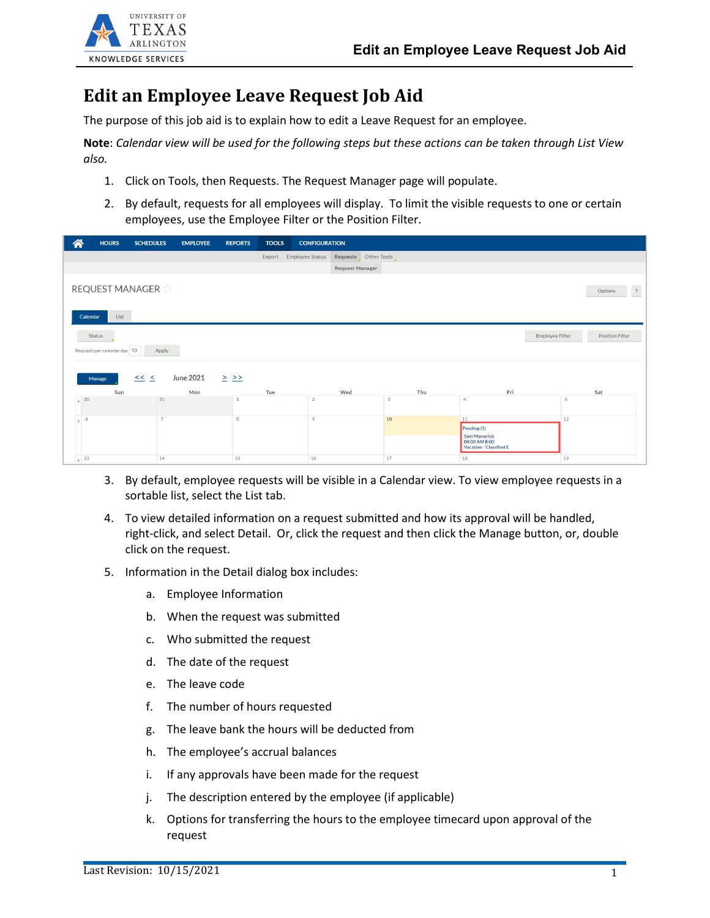

## **Edit an Employee Leave Request Job Aid**

The purpose of this job aid is to explain how to edit a Leave Request for an employee.

**Note**: *Calendar view will be used for the following steps but these actions can be taken through List View also.*

- 1. Click on Tools, then Requests. The Request Manager page will populate.
- 2. By default, requests for all employees will display. To limit the visible requests to one or certain employees, use the Employee Filter or the Position Filter.

| <mark>"</mark>                                                             | <b>HOURS</b>                                  |     | <b>SCHEDULES</b> | <b>EMPLOYEE</b>         | <b>REPORTS</b> | <b>TOOLS</b> | <b>CONFIGURATION</b>   |                        |     |                                                                                        |                        |                        |
|----------------------------------------------------------------------------|-----------------------------------------------|-----|------------------|-------------------------|----------------|--------------|------------------------|------------------------|-----|----------------------------------------------------------------------------------------|------------------------|------------------------|
|                                                                            |                                               |     |                  |                         |                |              | Export Employee Status | Requests Other Tools   |     |                                                                                        |                        |                        |
|                                                                            |                                               |     |                  |                         |                |              |                        | <b>Request Manager</b> |     |                                                                                        |                        |                        |
| REQUEST MANAGER<br>$\overline{\mathcal{L}}$<br>Options<br>List<br>Calendar |                                               |     |                  |                         |                |              |                        |                        |     |                                                                                        |                        |                        |
|                                                                            | <b>Status</b><br>Requests per calendar day 10 |     | Apply            |                         |                |              |                        |                        |     |                                                                                        | <b>Employee Filter</b> | <b>Position Filter</b> |
|                                                                            | Manage                                        | Sun | $\leq$ $\leq$    | <b>June 2021</b><br>Mon | $\geq$ $\geq$  | Tue          |                        | Wed                    | Thu | Fri                                                                                    |                        | Sat                    |
|                                                                            | $\frac{1}{2}$ 30                              |     | 31               |                         |                |              | $\overline{2}$         |                        | 3   | $\overline{4}$                                                                         | 5                      |                        |
| $\mathbf{w}$                                                               | 6                                             |     | $\overline{7}$   |                         | 8              |              | 9                      |                        | 10  | 11<br>Pending $(1)$<br>Sam Maverick<br>08:00 AM 8:00<br><b>Vacation - Classified E</b> | 12                     |                        |
|                                                                            | $\frac{1}{2}$ 13                              |     | 14               |                         | 15             |              | 16                     |                        | 17  | 18                                                                                     | 19                     |                        |

- 3. By default, employee requests will be visible in a Calendar view. To view employee requests in a sortable list, select the List tab.
- 4. To view detailed information on a request submitted and how its approval will be handled, right-click, and select Detail. Or, click the request and then click the Manage button, or, double click on the request.
- 5. Information in the Detail dialog box includes:
	- a. Employee Information
	- b. When the request was submitted
	- c. Who submitted the request
	- d. The date of the request
	- e. The leave code
	- f. The number of hours requested
	- g. The leave bank the hours will be deducted from
	- h. The employee's accrual balances
	- i. If any approvals have been made for the request
	- j. The description entered by the employee (if applicable)
	- k. Options for transferring the hours to the employee timecard upon approval of the request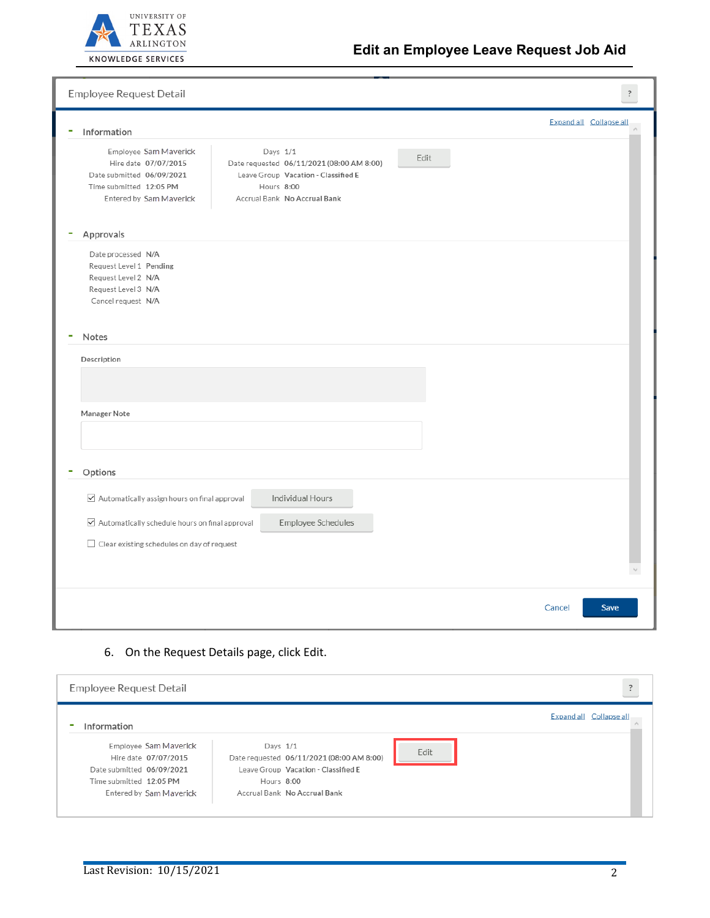

| Employee Request Detail                                                                                                                                                                                                                                                                |        | ?<br><br><br>$\ddot{\phantom{a}}$ |
|----------------------------------------------------------------------------------------------------------------------------------------------------------------------------------------------------------------------------------------------------------------------------------------|--------|-----------------------------------|
| Information<br>۰                                                                                                                                                                                                                                                                       |        | Expand all Collapse all           |
| Employee Sam Maverick<br>Days 1/1<br>Edit<br>Hire date 07/07/2015<br>Date requested 06/11/2021 (08:00 AM 8:00)<br>Date submitted 06/09/2021<br>Leave Group Vacation - Classified E<br>Time submitted 12:05 PM<br>Hours 8:00<br>Entered by Sam Maverick<br>Accrual Bank No Accrual Bank |        |                                   |
| Approvals                                                                                                                                                                                                                                                                              |        |                                   |
| Date processed N/A<br>Request Level 1 Pending<br>Request Level 2 N/A<br>Request Level 3 N/A<br>Cancel request N/A<br>Notes<br>Description                                                                                                                                              |        |                                   |
| Manager Note                                                                                                                                                                                                                                                                           |        |                                   |
| Options                                                                                                                                                                                                                                                                                |        |                                   |
| Individual Hours<br>$\triangleright$ Automatically assign hours on final approval                                                                                                                                                                                                      |        |                                   |
| $\boxdot$ Automatically schedule hours on final approval<br>Employee Schedules<br>$\Box$ Clear existing schedules on day of request                                                                                                                                                    |        |                                   |
|                                                                                                                                                                                                                                                                                        |        |                                   |
|                                                                                                                                                                                                                                                                                        | Cancel | Save                              |

## 6. On the Request Details page, click Edit.

| ?<br>Employee Request Detail                                                                                                     |                                                                                                                                            |                         |  |  |  |  |
|----------------------------------------------------------------------------------------------------------------------------------|--------------------------------------------------------------------------------------------------------------------------------------------|-------------------------|--|--|--|--|
| Information                                                                                                                      |                                                                                                                                            | Expand all Collapse all |  |  |  |  |
| Employee Sam Maverick<br>Hire date 07/07/2015<br>Date submitted 06/09/2021<br>Time submitted 12:05 PM<br>Entered by Sam Maverick | Days 1/1<br>Date requested 06/11/2021 (08:00 AM 8:00)<br>Leave Group Vacation - Classified E<br>Hours 8:00<br>Accrual Bank No Accrual Bank | Edit                    |  |  |  |  |